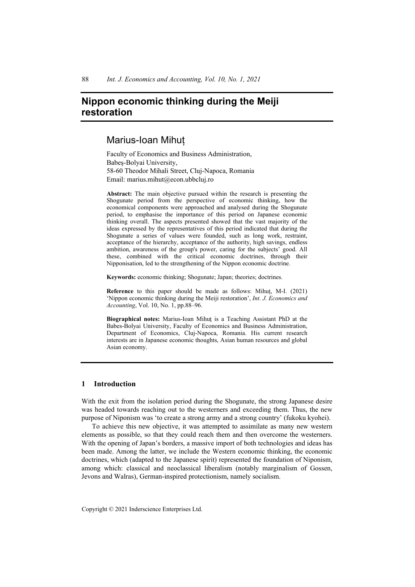# **Nippon economic thinking during the Meiji restoration**

## Marius-Ioan Mihuț

Faculty of Economics and Business Administration, Babeş-Bolyai University, 58-60 Theodor Mihali Street, Cluj-Napoca, Romania Email: marius.mihut@econ.ubbcluj.ro

**Abstract:** The main objective pursued within the research is presenting the Shogunate period from the perspective of economic thinking, how the economical components were approached and analysed during the Shogunate period, to emphasise the importance of this period on Japanese economic thinking overall. The aspects presented showed that the vast majority of the ideas expressed by the representatives of this period indicated that during the Shogunate a series of values were founded, such as long work, restraint, acceptance of the hierarchy, acceptance of the authority, high savings, endless ambition, awareness of the group's power, caring for the subjects' good. All these, combined with the critical economic doctrines, through their Nipponisation, led to the strengthening of the Nippon economic doctrine.

**Keywords:** economic thinking; Shogunate; Japan; theories; doctrines.

**Reference** to this paper should be made as follows: Mihuț, M-I. (2021) 'Nippon economic thinking during the Meiji restoration', *Int. J. Economics and Accounting*, Vol. 10, No. 1, pp.88–96.

**Biographical notes:** Marius-Ioan Mihuţ is a Teaching Assistant PhD at the Babes-Bolyai University, Faculty of Economics and Business Administration, Department of Economics, Cluj-Napoca, Romania. His current research interests are in Japanese economic thoughts, Asian human resources and global Asian economy.

### **1 Introduction**

With the exit from the isolation period during the Shogunate, the strong Japanese desire was headed towards reaching out to the westerners and exceeding them. Thus, the new purpose of Niponism was 'to create a strong army and a strong country' (fukoku kyohei).

To achieve this new objective, it was attempted to assimilate as many new western elements as possible, so that they could reach them and then overcome the westerners. With the opening of Japan's borders, a massive import of both technologies and ideas has been made. Among the latter, we include the Western economic thinking, the economic doctrines, which (adapted to the Japanese spirit) represented the foundation of Niponism, among which: classical and neoclassical liberalism (notably marginalism of Gossen, Jevons and Walras), German-inspired protectionism, namely socialism.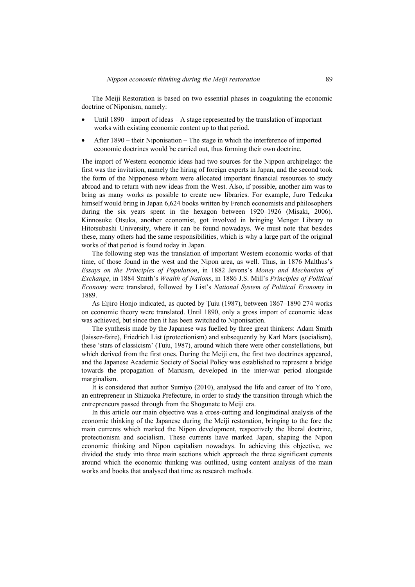The Meiji Restoration is based on two essential phases in coagulating the economic doctrine of Niponism, namely:

- Until  $1890$  import of ideas A stage represented by the translation of important works with existing economic content up to that period.
- After 1890 their Niponisation The stage in which the interference of imported economic doctrines would be carried out, thus forming their own doctrine.

The import of Western economic ideas had two sources for the Nippon archipelago: the first was the invitation, namely the hiring of foreign experts in Japan, and the second took the form of the Nipponese whom were allocated important financial resources to study abroad and to return with new ideas from the West. Also, if possible, another aim was to bring as many works as possible to create new libraries. For example, Juro Tedzuka himself would bring in Japan 6,624 books written by French economists and philosophers during the six years spent in the hexagon between 1920–1926 (Misaki, 2006). Kinnosuke Otsuka, another economist, got involved in bringing Menger Library to Hitotsubashi University, where it can be found nowadays. We must note that besides these, many others had the same responsibilities, which is why a large part of the original works of that period is found today in Japan.

The following step was the translation of important Western economic works of that time, of those found in the west and the Nipon area, as well. Thus, in 1876 Malthus's *Essays on the Principles of Population*, in 1882 Jevons's *Money and Mechanism of Exchange*, in 1884 Smith's *Wealth of Nations*, in 1886 J.S. Mill's *Principles of Political Economy* were translated, followed by List's *National System of Political Economy* in 1889.

As Eijiro Honjo indicated, as quoted by Ţuiu (1987), between 1867–1890 274 works on economic theory were translated. Until 1890, only a gross import of economic ideas was achieved, but since then it has been switched to Niponisation.

The synthesis made by the Japanese was fuelled by three great thinkers: Adam Smith (laissez-faire), Friedrich List (protectionism) and subsequently by Karl Marx (socialism), these 'stars of classicism' (Tuiu, 1987), around which there were other constellations, but which derived from the first ones. During the Meiji era, the first two doctrines appeared, and the Japanese Academic Society of Social Policy was established to represent a bridge towards the propagation of Marxism, developed in the inter-war period alongside marginalism.

It is considered that author Sumiyo (2010), analysed the life and career of Ito Yozo, an entrepreneur in Shizuoka Prefecture, in order to study the transition through which the entrepreneurs passed through from the Shogunate to Meiji era.

In this article our main objective was a cross-cutting and longitudinal analysis of the economic thinking of the Japanese during the Meiji restoration, bringing to the fore the main currents which marked the Nipon development, respectively the liberal doctrine, protectionism and socialism. These currents have marked Japan, shaping the Nipon economic thinking and Nipon capitalism nowadays. In achieving this objective, we divided the study into three main sections which approach the three significant currents around which the economic thinking was outlined, using content analysis of the main works and books that analysed that time as research methods.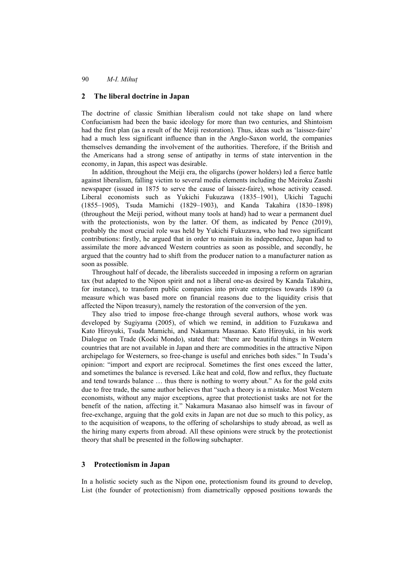### **2 The liberal doctrine in Japan**

The doctrine of classic Smithian liberalism could not take shape on land where Confucianism had been the basic ideology for more than two centuries, and Shintoism had the first plan (as a result of the Meiji restoration). Thus, ideas such as 'laissez-faire' had a much less significant influence than in the Anglo-Saxon world, the companies themselves demanding the involvement of the authorities. Therefore, if the British and the Americans had a strong sense of antipathy in terms of state intervention in the economy, in Japan, this aspect was desirable.

In addition, throughout the Meiji era, the oligarchs (power holders) led a fierce battle against liberalism, falling victim to several media elements including the Meiroku Zasshi newspaper (issued in 1875 to serve the cause of laissez-faire), whose activity ceased. Liberal economists such as Yukichi Fukuzawa (1835–1901), Ukichi Taguchi (1855–1905), Tsuda Mamichi (1829–1903), and Kanda Takahira (1830–1898) (throughout the Meiji period, without many tools at hand) had to wear a permanent duel with the protectionists, won by the latter. Of them, as indicated by Pence (2019), probably the most crucial role was held by Yukichi Fukuzawa, who had two significant contributions: firstly, he argued that in order to maintain its independence, Japan had to assimilate the more advanced Western countries as soon as possible, and secondly, he argued that the country had to shift from the producer nation to a manufacturer nation as soon as possible.

Throughout half of decade, the liberalists succeeded in imposing a reform on agrarian tax (but adapted to the Nipon spirit and not a liberal one-as desired by Kanda Takahira, for instance), to transform public companies into private enterprises towards 1890 (a measure which was based more on financial reasons due to the liquidity crisis that affected the Nipon treasury), namely the restoration of the conversion of the yen.

They also tried to impose free-change through several authors, whose work was developed by Sugiyama (2005), of which we remind, in addition to Fuzukawa and Kato Hiroyuki, Tsuda Mamichi, and Nakamura Masanao. Kato Hiroyuki, in his work Dialogue on Trade (Koeki Mondo), stated that: "there are beautiful things in Western countries that are not available in Japan and there are commodities in the attractive Nipon archipelago for Westerners, so free-change is useful and enriches both sides." In Tsuda's opinion: "import and export are reciprocal. Sometimes the first ones exceed the latter, and sometimes the balance is reversed. Like heat and cold, flow and reflux, they fluctuate and tend towards balance … thus there is nothing to worry about." As for the gold exits due to free trade, the same author believes that "such a theory is a mistake. Most Western economists, without any major exceptions, agree that protectionist tasks are not for the benefit of the nation, affecting it." Nakamura Masanao also himself was in favour of free-exchange, arguing that the gold exits in Japan are not due so much to this policy, as to the acquisition of weapons, to the offering of scholarships to study abroad, as well as the hiring many experts from abroad. All these opinions were struck by the protectionist theory that shall be presented in the following subchapter.

#### **3 Protectionism in Japan**

In a holistic society such as the Nipon one, protectionism found its ground to develop, List (the founder of protectionism) from diametrically opposed positions towards the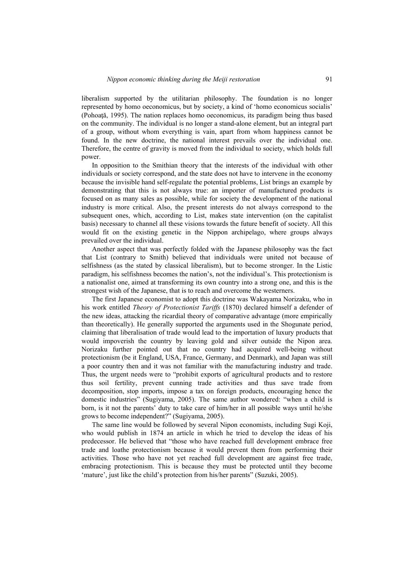liberalism supported by the utilitarian philosophy. The foundation is no longer represented by homo oeconomicus, but by society, a kind of 'homo economicus socialis' (Pohoaţă, 1995). The nation replaces homo oeconomicus, its paradigm being thus based on the community. The individual is no longer a stand-alone element, but an integral part of a group, without whom everything is vain, apart from whom happiness cannot be found. In the new doctrine, the national interest prevails over the individual one. Therefore, the centre of gravity is moved from the individual to society, which holds full power.

In opposition to the Smithian theory that the interests of the individual with other individuals or society correspond, and the state does not have to intervene in the economy because the invisible hand self-regulate the potential problems, List brings an example by demonstrating that this is not always true: an importer of manufactured products is focused on as many sales as possible, while for society the development of the national industry is more critical. Also, the present interests do not always correspond to the subsequent ones, which, according to List, makes state intervention (on the capitalist basis) necessary to channel all these visions towards the future benefit of society. All this would fit on the existing genetic in the Nippon archipelago, where groups always prevailed over the individual.

Another aspect that was perfectly folded with the Japanese philosophy was the fact that List (contrary to Smith) believed that individuals were united not because of selfishness (as the stated by classical liberalism), but to become stronger. In the Listic paradigm, his selfishness becomes the nation's, not the individual's. This protectionism is a nationalist one, aimed at transforming its own country into a strong one, and this is the strongest wish of the Japanese, that is to reach and overcome the westerners.

The first Japanese economist to adopt this doctrine was Wakayama Norizaku, who in his work entitled *Theory of Protectionist Tariffs* (1870) declared himself a defender of the new ideas, attacking the ricardial theory of comparative advantage (more empirically than theoretically). He generally supported the arguments used in the Shogunate period, claiming that liberalisation of trade would lead to the importation of luxury products that would impoverish the country by leaving gold and silver outside the Nipon area. Norizaku further pointed out that no country had acquired well-being without protectionism (be it England, USA, France, Germany, and Denmark), and Japan was still a poor country then and it was not familiar with the manufacturing industry and trade. Thus, the urgent needs were to "prohibit exports of agricultural products and to restore thus soil fertility, prevent cunning trade activities and thus save trade from decomposition, stop imports, impose a tax on foreign products, encouraging hence the domestic industries" (Sugiyama, 2005). The same author wondered: "when a child is born, is it not the parents' duty to take care of him/her in all possible ways until he/she grows to become independent?" (Sugiyama, 2005).

The same line would be followed by several Nipon economists, including Sugi Koji, who would publish in 1874 an article in which he tried to develop the ideas of his predecessor. He believed that "those who have reached full development embrace free trade and loathe protectionism because it would prevent them from performing their activities. Those who have not yet reached full development are against free trade, embracing protectionism. This is because they must be protected until they become 'mature', just like the child's protection from his/her parents" (Suzuki, 2005).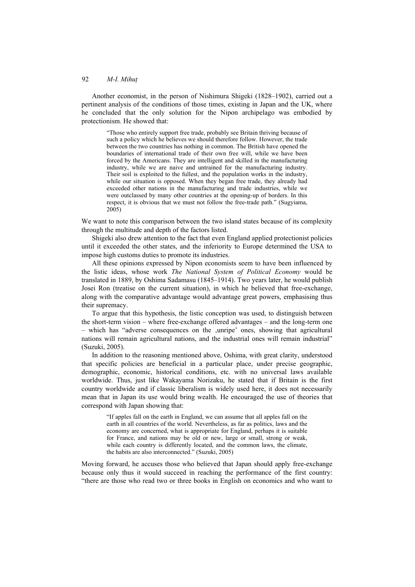Another economist, in the person of Nishimura Shigeki (1828–1902), carried out a pertinent analysis of the conditions of those times, existing in Japan and the UK, where he concluded that the only solution for the Nipon archipelago was embodied by protectionism. He showed that:

"Those who entirely support free trade, probably see Britain thriving because of such a policy which he believes we should therefore follow. However, the trade between the two countries has nothing in common. The British have opened the boundaries of international trade of their own free will, while we have been forced by the Americans. They are intelligent and skilled in the manufacturing industry, while we are naive and untrained for the manufacturing industry. Their soil is exploited to the fullest, and the population works in the industry, while our situation is opposed. When they began free trade, they already had exceeded other nations in the manufacturing and trade industries, while we were outclassed by many other countries at the opening-up of borders. In this respect, it is obvious that we must not follow the free-trade path." (Sugyiama, 2005)

We want to note this comparison between the two island states because of its complexity through the multitude and depth of the factors listed.

Shigeki also drew attention to the fact that even England applied protectionist policies until it exceeded the other states, and the inferiority to Europe determined the USA to impose high customs duties to promote its industries.

All these opinions expressed by Nipon economists seem to have been influenced by the listic ideas, whose work *The National System of Political Economy* would be translated in 1889, by Oshima Sadamasu (1845–1914). Two years later, he would publish Josei Ron (treatise on the current situation), in which he believed that free-exchange, along with the comparative advantage would advantage great powers, emphasising thus their supremacy.

To argue that this hypothesis, the listic conception was used, to distinguish between the short-term vision – where free-exchange offered advantages – and the long-term one  $-$  which has "adverse consequences on the  $\mu$ , unripe" ones, showing that agricultural nations will remain agricultural nations, and the industrial ones will remain industrial" (Suzuki, 2005).

In addition to the reasoning mentioned above, Oshima, with great clarity, understood that specific policies are beneficial in a particular place, under precise geographic, demographic, economic, historical conditions, etc. with no universal laws available worldwide. Thus, just like Wakayama Norizaku, he stated that if Britain is the first country worldwide and if classic liberalism is widely used here, it does not necessarily mean that in Japan its use would bring wealth. He encouraged the use of theories that correspond with Japan showing that:

"If apples fall on the earth in England, we can assume that all apples fall on the earth in all countries of the world. Nevertheless, as far as politics, laws and the economy are concerned, what is appropriate for England, perhaps it is suitable for France, and nations may be old or new, large or small, strong or weak, while each country is differently located, and the common laws, the climate, the habits are also interconnected." (Suzuki, 2005)

Moving forward, he accuses those who believed that Japan should apply free-exchange because only thus it would succeed in reaching the performance of the first country: "there are those who read two or three books in English on economics and who want to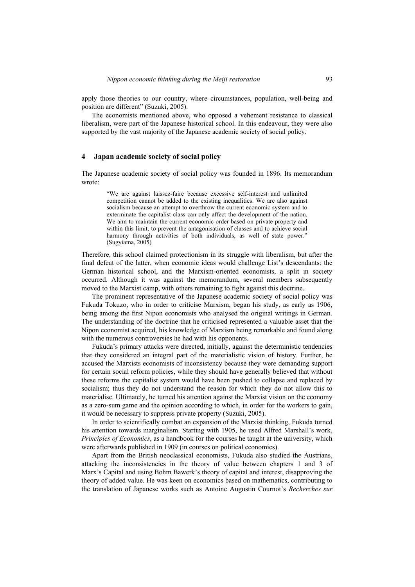apply those theories to our country, where circumstances, population, well-being and position are different" (Suzuki, 2005).

The economists mentioned above, who opposed a vehement resistance to classical liberalism, were part of the Japanese historical school. In this endeavour, they were also supported by the vast majority of the Japanese academic society of social policy.

#### **4 Japan academic society of social policy**

The Japanese academic society of social policy was founded in 1896. Its memorandum wrote:

> "We are against laissez-faire because excessive self-interest and unlimited competition cannot be added to the existing inequalities. We are also against socialism because an attempt to overthrow the current economic system and to exterminate the capitalist class can only affect the development of the nation. We aim to maintain the current economic order based on private property and within this limit, to prevent the antagonisation of classes and to achieve social harmony through activities of both individuals, as well of state power." (Sugyiama, 2005)

Therefore, this school claimed protectionism in its struggle with liberalism, but after the final defeat of the latter, when economic ideas would challenge List's descendants: the German historical school, and the Marxism-oriented economists, a split in society occurred. Although it was against the memorandum, several members subsequently moved to the Marxist camp, with others remaining to fight against this doctrine.

The prominent representative of the Japanese academic society of social policy was Fukuda Tokuzo, who in order to criticise Marxism, began his study, as early as 1906, being among the first Nipon economists who analysed the original writings in German. The understanding of the doctrine that he criticised represented a valuable asset that the Nipon economist acquired, his knowledge of Marxism being remarkable and found along with the numerous controversies he had with his opponents.

Fukuda's primary attacks were directed, initially, against the deterministic tendencies that they considered an integral part of the materialistic vision of history. Further, he accused the Marxists economists of inconsistency because they were demanding support for certain social reform policies, while they should have generally believed that without these reforms the capitalist system would have been pushed to collapse and replaced by socialism; thus they do not understand the reason for which they do not allow this to materialise. Ultimately, he turned his attention against the Marxist vision on the economy as a zero-sum game and the opinion according to which, in order for the workers to gain, it would be necessary to suppress private property (Suzuki, 2005).

In order to scientifically combat an expansion of the Marxist thinking, Fukuda turned his attention towards marginalism. Starting with 1905, he used Alfred Marshall's work, *Principles of Economics*, as a handbook for the courses he taught at the university, which were afterwards published in 1909 (in courses on political economics).

Apart from the British neoclassical economists, Fukuda also studied the Austrians, attacking the inconsistencies in the theory of value between chapters 1 and 3 of Marx's Capital and using Bohm Bawerk's theory of capital and interest, disapproving the theory of added value. He was keen on economics based on mathematics, contributing to the translation of Japanese works such as Antoine Augustin Cournot's *Recherches sur*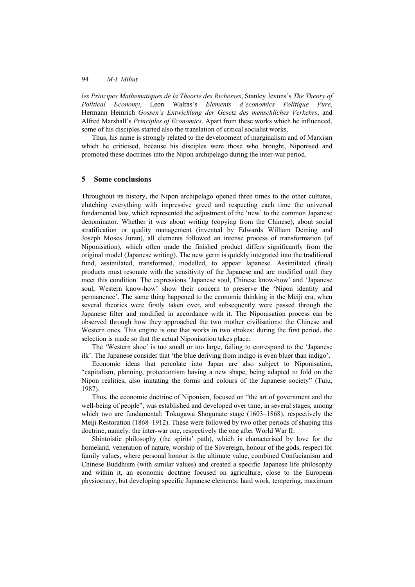*les Principes Mathematiques de la Theorie des Richesses*, Stanley Jevons's *The Theory of Political Economy*, Leon Walras's *Elements d'economics Politique Pure*, Hermann Heinrich *Gossen's Entwicklung der Gesetz des menschliches Verkehrs*, and Alfred Marshall's *Principles of Economics*. Apart from these works which he influenced, some of his disciples started also the translation of critical socialist works.

Thus, his name is strongly related to the development of marginalism and of Marxism which he criticised, because his disciples were those who brought, Niponised and promoted these doctrines into the Nipon archipelago during the inter-war period.

## **5 Some conclusions**

Throughout its history, the Nipon archipelago opened three times to the other cultures, clutching everything with impressive greed and respecting each time the universal fundamental law, which represented the adjustment of the 'new' to the common Japanese denominator. Whether it was about writing (copying from the Chinese), about social stratification or quality management (invented by Edwards William Deming and Joseph Moses Juran), all elements followed an intense process of transformation (of Niponisation), which often made the finished product differs significantly from the original model (Japanese writing). The new germ is quickly integrated into the traditional fund, assimilated, transformed, modelled, to appear Japanese. Assimilated (final) products must resonate with the sensitivity of the Japanese and are modified until they meet this condition. The expressions 'Japanese soul, Chinese know-how' and 'Japanese soul, Western know-how' show their concern to preserve the 'Nipon identity and permanence'. The same thing happened to the economic thinking in the Meiji era, when several theories were firstly taken over, and subsequently were passed through the Japanese filter and modified in accordance with it. The Niponisation process can be observed through how they approached the two mother civilisations: the Chinese and Western ones. This engine is one that works in two strokes: during the first period, the selection is made so that the actual Niponisation takes place.

The 'Western shoe' is too small or too large, failing to correspond to the 'Japanese ilk'. The Japanese consider that 'the blue deriving from indigo is even bluer than indigo'.

Economic ideas that percolate into Japan are also subject to Niponisation, "capitalism, planning, protectionism having a new shape, being adapted to fold on the Nipon realities, also imitating the forms and colours of the Japanese society" (Tuiu, 1987).

Thus, the economic doctrine of Niponism, focused on "the art of government and the well-being of people", was established and developed over time, in several stages, among which two are fundamental: Tokugawa Shogunate stage (1603–1868), respectively the Meiji Restoration (1868–1912). These were followed by two other periods of shaping this doctrine, namely: the inter-war one, respectively the one after World War II.

Shintoistic philosophy (the spirits' path), which is characterised by love for the homeland, veneration of nature, worship of the Sovereign, honour of the gods, respect for family values, where personal honour is the ultimate value, combined Confucianism and Chinese Buddhism (with similar values) and created a specific Japanese life philosophy and within it, an economic doctrine focused on agriculture, close to the European physiocracy, but developing specific Japanese elements: hard work, tempering, maximum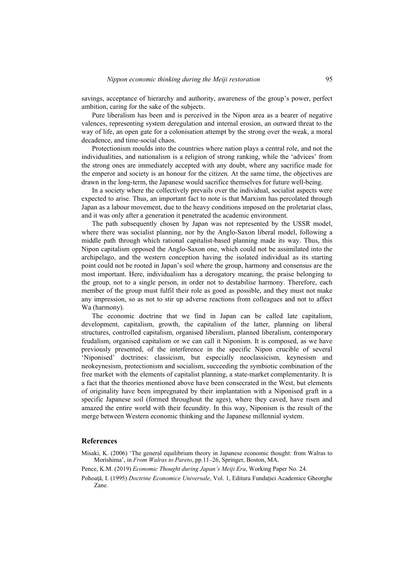savings, acceptance of hierarchy and authority, awareness of the group's power, perfect ambition, caring for the sake of the subjects.

Pure liberalism has been and is perceived in the Nipon area as a bearer of negative valences, representing system deregulation and internal erosion, an outward threat to the way of life, an open gate for a colonisation attempt by the strong over the weak, a moral decadence, and time-social chaos.

Protectionism moulds into the countries where nation plays a central role, and not the individualities, and nationalism is a religion of strong ranking, while the 'advices' from the strong ones are immediately accepted with any doubt, where any sacrifice made for the emperor and society is an honour for the citizen. At the same time, the objectives are drawn in the long-term, the Japanese would sacrifice themselves for future well-being.

In a society where the collectively prevails over the individual, socialist aspects were expected to arise. Thus, an important fact to note is that Marxism has percolated through Japan as a labour movement, due to the heavy conditions imposed on the proletariat class, and it was only after a generation it penetrated the academic environment.

The path subsequently chosen by Japan was not represented by the USSR model, where there was socialist planning, nor by the Anglo-Saxon liberal model, following a middle path through which rational capitalist-based planning made its way. Thus, this Nipon capitalism opposed the Anglo-Saxon one, which could not be assimilated into the archipelago, and the western conception having the isolated individual as its starting point could not be rooted in Japan's soil where the group, harmony and consensus are the most important. Here, individualism has a derogatory meaning, the praise belonging to the group, not to a single person, in order not to destabilise harmony. Therefore, each member of the group must fulfil their role as good as possible, and they must not make any impression, so as not to stir up adverse reactions from colleagues and not to affect Wa (harmony).

The economic doctrine that we find in Japan can be called late capitalism, development, capitalism, growth, the capitalism of the latter, planning on liberal structures, controlled capitalism, organised liberalism, planned liberalism, contemporary feudalism, organised capitalism or we can call it Niponism. It is composed, as we have previously presented, of the interference in the specific Nipon crucible of several 'Niponised' doctrines: classicism, but especially neoclassicism, keynesism and neokeynesism, protectionism and socialism, succeeding the symbiotic combination of the free market with the elements of capitalist planning, a state-market complementarity. It is a fact that the theories mentioned above have been consecrated in the West, but elements of originality have been impregnated by their implantation with a Niponised graft in a specific Japanese soil (formed throughout the ages), where they caved, have risen and amazed the entire world with their fecundity. In this way, Niponism is the result of the merge between Western economic thinking and the Japanese millennial system.

#### **References**

Misaki, K. (2006) 'The general equilibrium theory in Japanese economic thought: from Walras to Morishima', in *From Walras to Pareto*, pp.11–26, Springer, Boston, MA.

Pence, K.M. (2019) *Economic Thought during Japan's Meiji Era*, Working Paper No. 24.

Pohoaţă, I. (1995) *Doctrine Economice Universale*, Vol. 1, Editura Fundaţiei Academice Gheorghe Zane.